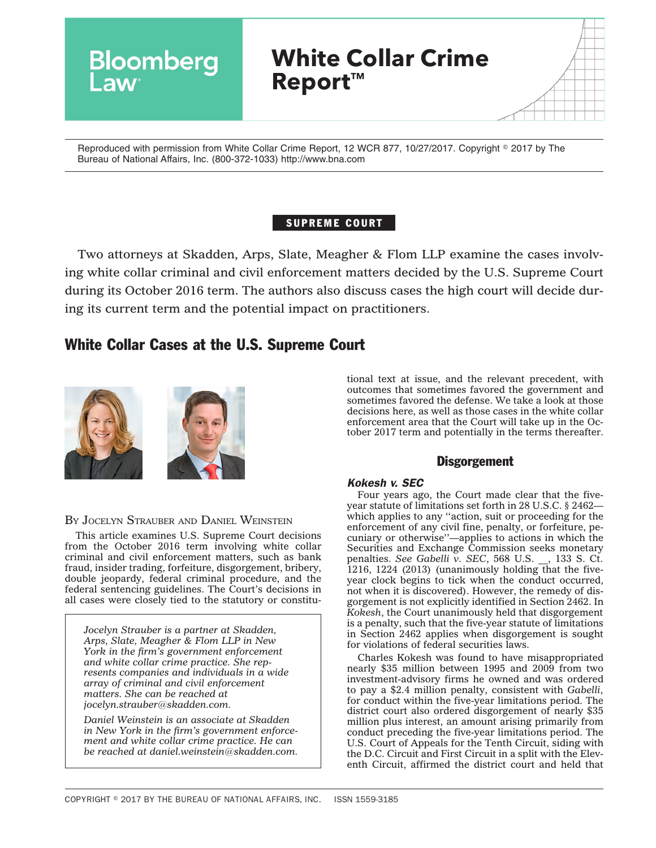

Reproduced with permission from White Collar Crime Report, 12 WCR 877, 10/27/2017. Copyright © 2017 by The Bureau of National Affairs, Inc. (800-372-1033) http://www.bna.com

# SUPREME COURT

Two attorneys at Skadden, Arps, Slate, Meagher & Flom LLP examine the cases involving white collar criminal and civil enforcement matters decided by the U.S. Supreme Court during its October 2016 term. The authors also discuss cases the high court will decide during its current term and the potential impact on practitioners.

# White Collar Cases at the U.S. Supreme Court



BY JOCELYN STRAUBER AND DANIEL WEINSTEIN

This article examines U.S. Supreme Court decisions from the October 2016 term involving white collar criminal and civil enforcement matters, such as bank fraud, insider trading, forfeiture, disgorgement, bribery, double jeopardy, federal criminal procedure, and the federal sentencing guidelines. The Court's decisions in all cases were closely tied to the statutory or constitu-

*Jocelyn Strauber is a partner at Skadden, Arps, Slate, Meagher & Flom LLP in New York in the firm's government enforcement and white collar crime practice. She represents companies and individuals in a wide array of criminal and civil enforcement matters. She can be reached at [jocelyn.strauber@skadden.com.](mailto:jocelyn.strauber@skadden.com)*

*Daniel Weinstein is an associate at Skadden in New York in the firm's government enforcement and white collar crime practice. He can be reached at [daniel.weinstein@skadden.com.](mailto:daniel.weinstein@skadden.com)*

tional text at issue, and the relevant precedent, with outcomes that sometimes favored the government and sometimes favored the defense. We take a look at those decisions here, as well as those cases in the white collar enforcement area that the Court will take up in the October 2017 term and potentially in the terms thereafter.

# **Disgorgement**

## *Kokesh v. SEC*

Four years ago, the Court made clear that the fiveyear statute of limitations set forth in 28 U.S.C. § 2462 which applies to any "action, suit or proceeding for the enforcement of any civil fine, penalty, or forfeiture, pecuniary or otherwise''—applies to actions in which the Securities and Exchange Commission seeks monetary penalties. *See Gabelli v. SEC*, 568 U.S. \_\_, 133 S. Ct. 1216, 1224 (2013) (unanimously holding that the fiveyear clock begins to tick when the conduct occurred, not when it is discovered). However, the remedy of disgorgement is not explicitly identified in Section 2462. In *Kokesh*, the Court unanimously held that disgorgement is a penalty, such that the five-year statute of limitations in Section 2462 applies when disgorgement is sought for violations of federal securities laws.

Charles Kokesh was found to have misappropriated nearly \$35 million between 1995 and 2009 from two investment-advisory firms he owned and was ordered to pay a \$2.4 million penalty, consistent with *Gabelli*, for conduct within the five-year limitations period. The district court also ordered disgorgement of nearly \$35 million plus interest, an amount arising primarily from conduct preceding the five-year limitations period. The U.S. Court of Appeals for the Tenth Circuit, siding with the D.C. Circuit and First Circuit in a split with the Eleventh Circuit, affirmed the district court and held that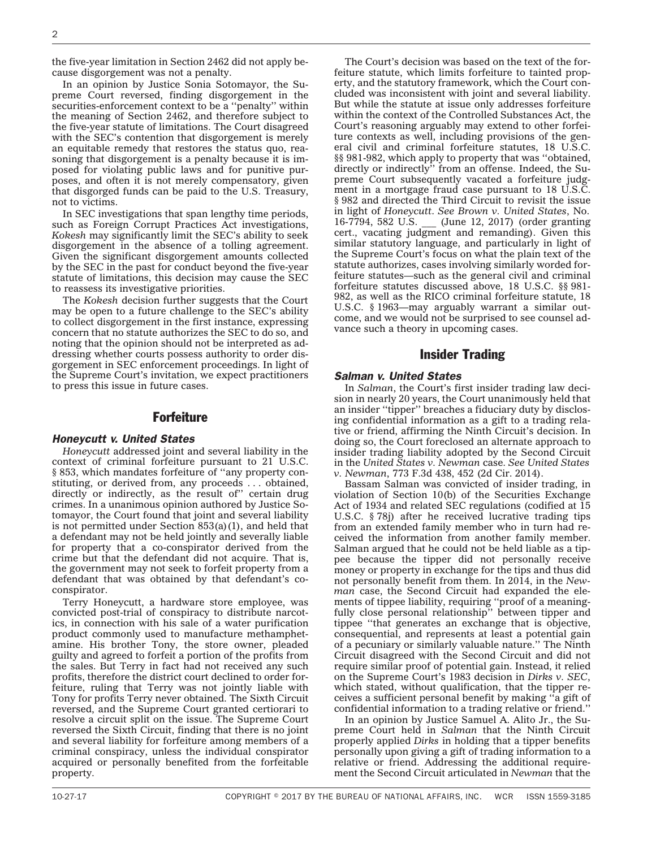the five-year limitation in Section 2462 did not apply because disgorgement was not a penalty.

In an opinion by Justice Sonia Sotomayor, the Supreme Court reversed, finding disgorgement in the securities-enforcement context to be a ''penalty'' within the meaning of Section 2462, and therefore subject to the five-year statute of limitations. The Court disagreed with the SEC's contention that disgorgement is merely an equitable remedy that restores the status quo, reasoning that disgorgement is a penalty because it is imposed for violating public laws and for punitive purposes, and often it is not merely compensatory, given that disgorged funds can be paid to the U.S. Treasury, not to victims.

In SEC investigations that span lengthy time periods, such as Foreign Corrupt Practices Act investigations, *Kokesh* may significantly limit the SEC's ability to seek disgorgement in the absence of a tolling agreement. Given the significant disgorgement amounts collected by the SEC in the past for conduct beyond the five-year statute of limitations, this decision may cause the SEC to reassess its investigative priorities.

The *Kokesh* decision further suggests that the Court may be open to a future challenge to the SEC's ability to collect disgorgement in the first instance, expressing concern that no statute authorizes the SEC to do so, and noting that the opinion should not be interpreted as addressing whether courts possess authority to order disgorgement in SEC enforcement proceedings. In light of the Supreme Court's invitation, we expect practitioners to press this issue in future cases.

## Forfeiture

#### *Honeycutt v. United States*

*Honeycutt* addressed joint and several liability in the context of criminal forfeiture pursuant to 21 U.S.C. § 853, which mandates forfeiture of ''any property constituting, or derived from, any proceeds . . . obtained, directly or indirectly, as the result of" certain drug crimes. In a unanimous opinion authored by Justice Sotomayor, the Court found that joint and several liability is not permitted under Section  $853(a)(1)$ , and held that a defendant may not be held jointly and severally liable for property that a co-conspirator derived from the crime but that the defendant did not acquire. That is, the government may not seek to forfeit property from a defendant that was obtained by that defendant's coconspirator.

Terry Honeycutt, a hardware store employee, was convicted post-trial of conspiracy to distribute narcotics, in connection with his sale of a water purification product commonly used to manufacture methamphetamine. His brother Tony, the store owner, pleaded guilty and agreed to forfeit a portion of the profits from the sales. But Terry in fact had not received any such profits, therefore the district court declined to order forfeiture, ruling that Terry was not jointly liable with Tony for profits Terry never obtained. The Sixth Circuit reversed, and the Supreme Court granted certiorari to resolve a circuit split on the issue. The Supreme Court reversed the Sixth Circuit, finding that there is no joint and several liability for forfeiture among members of a criminal conspiracy, unless the individual conspirator acquired or personally benefited from the forfeitable property.

The Court's decision was based on the text of the forfeiture statute, which limits forfeiture to tainted property, and the statutory framework, which the Court concluded was inconsistent with joint and several liability. But while the statute at issue only addresses forfeiture within the context of the Controlled Substances Act, the Court's reasoning arguably may extend to other forfeiture contexts as well, including provisions of the general civil and criminal forfeiture statutes, 18 U.S.C. §§ 981-982, which apply to property that was ''obtained, directly or indirectly'' from an offense. Indeed, the Supreme Court subsequently vacated a forfeiture judgment in a mortgage fraud case pursuant to 18 U.S.C. § 982 and directed the Third Circuit to revisit the issue in light of *Honeycutt*. *See Brown v. United States*, No. 16-7794, 582 U.S. \_\_\_ (June 12, 2017) (order granting cert., vacating judgment and remanding). Given this similar statutory language, and particularly in light of the Supreme Court's focus on what the plain text of the statute authorizes, cases involving similarly worded forfeiture statutes—such as the general civil and criminal forfeiture statutes discussed above, 18 U.S.C. §§ 981- 982, as well as the RICO criminal forfeiture statute, 18 U.S.C. § 1963—may arguably warrant a similar outcome, and we would not be surprised to see counsel advance such a theory in upcoming cases.

## Insider Trading

#### *Salman v. United States*

In *Salman*, the Court's first insider trading law decision in nearly 20 years, the Court unanimously held that an insider ''tipper'' breaches a fiduciary duty by disclosing confidential information as a gift to a trading relative or friend, affirming the Ninth Circuit's decision. In doing so, the Court foreclosed an alternate approach to insider trading liability adopted by the Second Circuit in the *United States v. Newman* case. *See United States v. Newman*, 773 F.3d 438, 452 (2d Cir. 2014).

Bassam Salman was convicted of insider trading, in violation of Section 10(b) of the Securities Exchange Act of 1934 and related SEC regulations (codified at  $15$ U.S.C. § 78j) after he received lucrative trading tips from an extended family member who in turn had received the information from another family member. Salman argued that he could not be held liable as a tippee because the tipper did not personally receive money or property in exchange for the tips and thus did not personally benefit from them. In 2014, in the *Newman* case, the Second Circuit had expanded the elements of tippee liability, requiring ''proof of a meaningfully close personal relationship'' between tipper and tippee ''that generates an exchange that is objective, consequential, and represents at least a potential gain of a pecuniary or similarly valuable nature.'' The Ninth Circuit disagreed with the Second Circuit and did not require similar proof of potential gain. Instead, it relied on the Supreme Court's 1983 decision in *Dirks v. SEC*, which stated, without qualification, that the tipper receives a sufficient personal benefit by making ''a gift of confidential information to a trading relative or friend.''

In an opinion by Justice Samuel A. Alito Jr., the Supreme Court held in *Salman* that the Ninth Circuit properly applied *Dirks* in holding that a tipper benefits personally upon giving a gift of trading information to a relative or friend. Addressing the additional requirement the Second Circuit articulated in *Newman* that the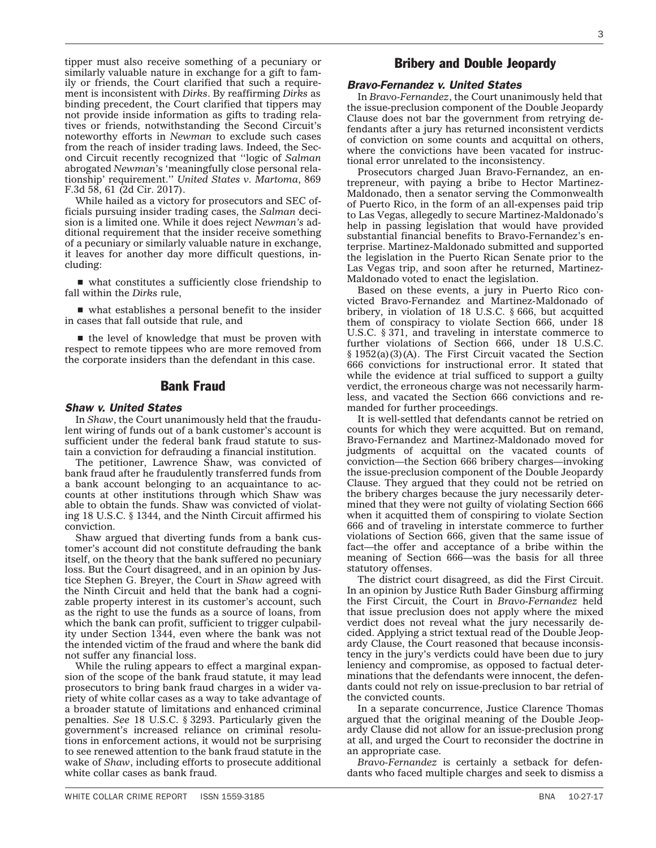tipper must also receive something of a pecuniary or similarly valuable nature in exchange for a gift to family or friends, the Court clarified that such a requirement is inconsistent with *Dirks*. By reaffirming *Dirks* as binding precedent, the Court clarified that tippers may not provide inside information as gifts to trading relatives or friends, notwithstanding the Second Circuit's noteworthy efforts in *Newman* to exclude such cases from the reach of insider trading laws. Indeed, the Second Circuit recently recognized that ''logic of *Salman* abrogated *Newman*'s 'meaningfully close personal relationship' requirement.'' *United States v. Martoma*, 869 F.3d 58, 61 (2d Cir. 2017).

While hailed as a victory for prosecutors and SEC officials pursuing insider trading cases, the *Salman* decision is a limited one. While it does reject *Newman's* additional requirement that the insider receive something of a pecuniary or similarly valuable nature in exchange, it leaves for another day more difficult questions, including:

 $\blacksquare$  what constitutes a sufficiently close friendship to fall within the *Dirks* rule,

 $\blacksquare$  what establishes a personal benefit to the insider in cases that fall outside that rule, and

 $\blacksquare$  the level of knowledge that must be proven with respect to remote tippees who are more removed from the corporate insiders than the defendant in this case.

## Bank Fraud

#### *Shaw v. United States*

In *Shaw*, the Court unanimously held that the fraudulent wiring of funds out of a bank customer's account is sufficient under the federal bank fraud statute to sustain a conviction for defrauding a financial institution.

The petitioner, Lawrence Shaw, was convicted of bank fraud after he fraudulently transferred funds from a bank account belonging to an acquaintance to accounts at other institutions through which Shaw was able to obtain the funds. Shaw was convicted of violating 18 U.S.C. § 1344, and the Ninth Circuit affirmed his conviction.

Shaw argued that diverting funds from a bank customer's account did not constitute defrauding the bank itself, on the theory that the bank suffered no pecuniary loss. But the Court disagreed, and in an opinion by Justice Stephen G. Breyer, the Court in *Shaw* agreed with the Ninth Circuit and held that the bank had a cognizable property interest in its customer's account, such as the right to use the funds as a source of loans, from which the bank can profit, sufficient to trigger culpability under Section 1344, even where the bank was not the intended victim of the fraud and where the bank did not suffer any financial loss.

While the ruling appears to effect a marginal expansion of the scope of the bank fraud statute, it may lead prosecutors to bring bank fraud charges in a wider variety of white collar cases as a way to take advantage of a broader statute of limitations and enhanced criminal penalties. *See* 18 U.S.C. § 3293. Particularly given the government's increased reliance on criminal resolutions in enforcement actions, it would not be surprising to see renewed attention to the bank fraud statute in the wake of *Shaw*, including efforts to prosecute additional white collar cases as bank fraud.

# Bribery and Double Jeopardy

#### *Bravo-Fernandez v. United States*

In *Bravo-Fernandez*, the Court unanimously held that the issue-preclusion component of the Double Jeopardy Clause does not bar the government from retrying defendants after a jury has returned inconsistent verdicts of conviction on some counts and acquittal on others, where the convictions have been vacated for instructional error unrelated to the inconsistency.

Prosecutors charged Juan Bravo-Fernandez, an entrepreneur, with paying a bribe to Hector Martinez-Maldonado, then a senator serving the Commonwealth of Puerto Rico, in the form of an all-expenses paid trip to Las Vegas, allegedly to secure Martinez-Maldonado's help in passing legislation that would have provided substantial financial benefits to Bravo-Fernandez's enterprise. Martinez-Maldonado submitted and supported the legislation in the Puerto Rican Senate prior to the Las Vegas trip, and soon after he returned, Martinez-Maldonado voted to enact the legislation.

Based on these events, a jury in Puerto Rico convicted Bravo-Fernandez and Martinez-Maldonado of bribery, in violation of 18 U.S.C. § 666, but acquitted them of conspiracy to violate Section 666, under 18 U.S.C. § 371, and traveling in interstate commerce to further violations of Section 666, under 18 U.S.C. § 1952(a)(3)(A). The First Circuit vacated the Section 666 convictions for instructional error. It stated that while the evidence at trial sufficed to support a guilty verdict, the erroneous charge was not necessarily harmless, and vacated the Section 666 convictions and remanded for further proceedings.

It is well-settled that defendants cannot be retried on counts for which they were acquitted. But on remand, Bravo-Fernandez and Martinez-Maldonado moved for judgments of acquittal on the vacated counts of conviction—the Section 666 bribery charges—invoking the issue-preclusion component of the Double Jeopardy Clause. They argued that they could not be retried on the bribery charges because the jury necessarily determined that they were not guilty of violating Section 666 when it acquitted them of conspiring to violate Section 666 and of traveling in interstate commerce to further violations of Section 666, given that the same issue of fact—the offer and acceptance of a bribe within the meaning of Section 666—was the basis for all three statutory offenses.

The district court disagreed, as did the First Circuit. In an opinion by Justice Ruth Bader Ginsburg affirming the First Circuit, the Court in *Bravo-Fernandez* held that issue preclusion does not apply where the mixed verdict does not reveal what the jury necessarily decided. Applying a strict textual read of the Double Jeopardy Clause, the Court reasoned that because inconsistency in the jury's verdicts could have been due to jury leniency and compromise, as opposed to factual determinations that the defendants were innocent, the defendants could not rely on issue-preclusion to bar retrial of the convicted counts.

In a separate concurrence, Justice Clarence Thomas argued that the original meaning of the Double Jeopardy Clause did not allow for an issue-preclusion prong at all, and urged the Court to reconsider the doctrine in an appropriate case.

*Bravo-Fernandez* is certainly a setback for defendants who faced multiple charges and seek to dismiss a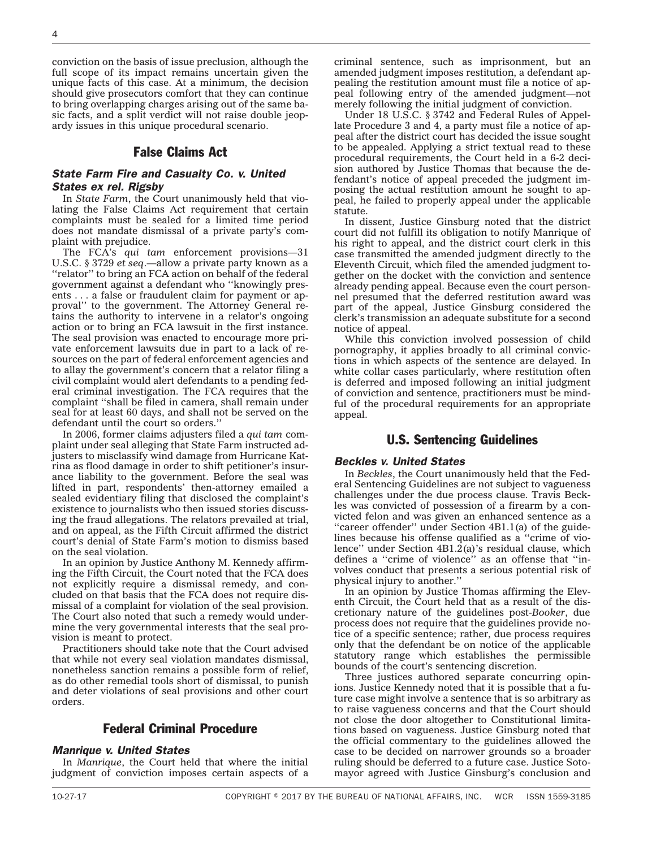conviction on the basis of issue preclusion, although the full scope of its impact remains uncertain given the unique facts of this case. At a minimum, the decision should give prosecutors comfort that they can continue to bring overlapping charges arising out of the same basic facts, and a split verdict will not raise double jeopardy issues in this unique procedural scenario.

### False Claims Act

#### *State Farm Fire and Casualty Co. v. United States ex rel. Rigsby*

In *State Farm*, the Court unanimously held that violating the False Claims Act requirement that certain complaints must be sealed for a limited time period does not mandate dismissal of a private party's complaint with prejudice.

The FCA's *qui tam* enforcement provisions—31 U.S.C. § 3729 *et seq*.—allow a private party known as a ''relator'' to bring an FCA action on behalf of the federal government against a defendant who ''knowingly presents . . . a false or fraudulent claim for payment or approval'' to the government. The Attorney General retains the authority to intervene in a relator's ongoing action or to bring an FCA lawsuit in the first instance. The seal provision was enacted to encourage more private enforcement lawsuits due in part to a lack of resources on the part of federal enforcement agencies and to allay the government's concern that a relator filing a civil complaint would alert defendants to a pending federal criminal investigation. The FCA requires that the complaint ''shall be filed in camera, shall remain under seal for at least 60 days, and shall not be served on the defendant until the court so orders.''

In 2006, former claims adjusters filed a *qui tam* complaint under seal alleging that State Farm instructed adjusters to misclassify wind damage from Hurricane Katrina as flood damage in order to shift petitioner's insurance liability to the government. Before the seal was lifted in part, respondents' then-attorney emailed a sealed evidentiary filing that disclosed the complaint's existence to journalists who then issued stories discussing the fraud allegations. The relators prevailed at trial, and on appeal, as the Fifth Circuit affirmed the district court's denial of State Farm's motion to dismiss based on the seal violation.

In an opinion by Justice Anthony M. Kennedy affirming the Fifth Circuit, the Court noted that the FCA does not explicitly require a dismissal remedy, and concluded on that basis that the FCA does not require dismissal of a complaint for violation of the seal provision. The Court also noted that such a remedy would undermine the very governmental interests that the seal provision is meant to protect.

Practitioners should take note that the Court advised that while not every seal violation mandates dismissal, nonetheless sanction remains a possible form of relief, as do other remedial tools short of dismissal, to punish and deter violations of seal provisions and other court orders.

# Federal Criminal Procedure

#### *Manrique v. United States*

In *Manrique*, the Court held that where the initial judgment of conviction imposes certain aspects of a criminal sentence, such as imprisonment, but an amended judgment imposes restitution, a defendant appealing the restitution amount must file a notice of appeal following entry of the amended judgment—not merely following the initial judgment of conviction.

Under 18 U.S.C. § 3742 and Federal Rules of Appellate Procedure 3 and 4, a party must file a notice of appeal after the district court has decided the issue sought to be appealed. Applying a strict textual read to these procedural requirements, the Court held in a 6-2 decision authored by Justice Thomas that because the defendant's notice of appeal preceded the judgment imposing the actual restitution amount he sought to appeal, he failed to properly appeal under the applicable statute.

In dissent, Justice Ginsburg noted that the district court did not fulfill its obligation to notify Manrique of his right to appeal, and the district court clerk in this case transmitted the amended judgment directly to the Eleventh Circuit, which filed the amended judgment together on the docket with the conviction and sentence already pending appeal. Because even the court personnel presumed that the deferred restitution award was part of the appeal, Justice Ginsburg considered the clerk's transmission an adequate substitute for a second notice of appeal.

While this conviction involved possession of child pornography, it applies broadly to all criminal convictions in which aspects of the sentence are delayed. In white collar cases particularly, where restitution often is deferred and imposed following an initial judgment of conviction and sentence, practitioners must be mindful of the procedural requirements for an appropriate appeal.

#### U.S. Sentencing Guidelines

#### *Beckles v. United States*

In *Beckles*, the Court unanimously held that the Federal Sentencing Guidelines are not subject to vagueness challenges under the due process clause. Travis Beckles was convicted of possession of a firearm by a convicted felon and was given an enhanced sentence as a "career offender" under Section 4B1.1(a) of the guidelines because his offense qualified as a ''crime of violence" under Section  $4B1.\overline{2}$ (a)'s residual clause, which defines a ''crime of violence'' as an offense that ''involves conduct that presents a serious potential risk of physical injury to another.''

In an opinion by Justice Thomas affirming the Eleventh Circuit, the Court held that as a result of the discretionary nature of the guidelines post-*Booker*, due process does not require that the guidelines provide notice of a specific sentence; rather, due process requires only that the defendant be on notice of the applicable statutory range which establishes the permissible bounds of the court's sentencing discretion.

Three justices authored separate concurring opinions. Justice Kennedy noted that it is possible that a future case might involve a sentence that is so arbitrary as to raise vagueness concerns and that the Court should not close the door altogether to Constitutional limitations based on vagueness. Justice Ginsburg noted that the official commentary to the guidelines allowed the case to be decided on narrower grounds so a broader ruling should be deferred to a future case. Justice Sotomayor agreed with Justice Ginsburg's conclusion and